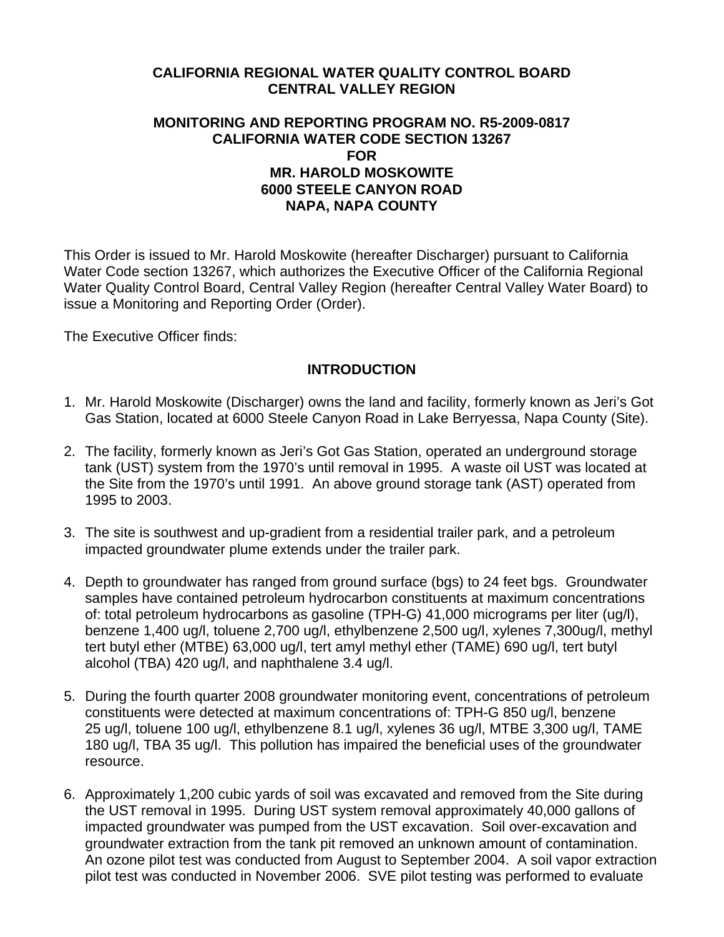## **CALIFORNIA REGIONAL WATER QUALITY CONTROL BOARD CENTRAL VALLEY REGION**

#### **MONITORING AND REPORTING PROGRAM NO. R5-2009-0817 CALIFORNIA WATER CODE SECTION 13267 FOR MR. HAROLD MOSKOWITE 6000 STEELE CANYON ROAD NAPA, NAPA COUNTY**

This Order is issued to Mr. Harold Moskowite (hereafter Discharger) pursuant to California Water Code section 13267, which authorizes the Executive Officer of the California Regional Water Quality Control Board, Central Valley Region (hereafter Central Valley Water Board) to issue a Monitoring and Reporting Order (Order).

The Executive Officer finds:

### **INTRODUCTION**

- 1. Mr. Harold Moskowite (Discharger) owns the land and facility, formerly known as Jeri's Got Gas Station, located at 6000 Steele Canyon Road in Lake Berryessa, Napa County (Site).
- 2. The facility, formerly known as Jeri's Got Gas Station, operated an underground storage tank (UST) system from the 1970's until removal in 1995. A waste oil UST was located at the Site from the 1970's until 1991. An above ground storage tank (AST) operated from 1995 to 2003.
- 3. The site is southwest and up-gradient from a residential trailer park, and a petroleum impacted groundwater plume extends under the trailer park.
- 4. Depth to groundwater has ranged from ground surface (bgs) to 24 feet bgs. Groundwater samples have contained petroleum hydrocarbon constituents at maximum concentrations of: total petroleum hydrocarbons as gasoline (TPH-G) 41,000 micrograms per liter (ug/l), benzene 1,400 ug/l, toluene 2,700 ug/l, ethylbenzene 2,500 ug/l, xylenes 7,300ug/l, methyl tert butyl ether (MTBE) 63,000 ug/l, tert amyl methyl ether (TAME) 690 ug/l, tert butyl alcohol (TBA) 420 ug/l, and naphthalene 3.4 ug/l.
- 5. During the fourth quarter 2008 groundwater monitoring event, concentrations of petroleum constituents were detected at maximum concentrations of: TPH-G 850 ug/l, benzene 25 ug/l, toluene 100 ug/l, ethylbenzene 8.1 ug/l, xylenes 36 ug/l, MTBE 3,300 ug/l, TAME 180 ug/l, TBA 35 ug/l. This pollution has impaired the beneficial uses of the groundwater resource.
- 6. Approximately 1,200 cubic yards of soil was excavated and removed from the Site during the UST removal in 1995. During UST system removal approximately 40,000 gallons of impacted groundwater was pumped from the UST excavation. Soil over-excavation and groundwater extraction from the tank pit removed an unknown amount of contamination. An ozone pilot test was conducted from August to September 2004. A soil vapor extraction pilot test was conducted in November 2006. SVE pilot testing was performed to evaluate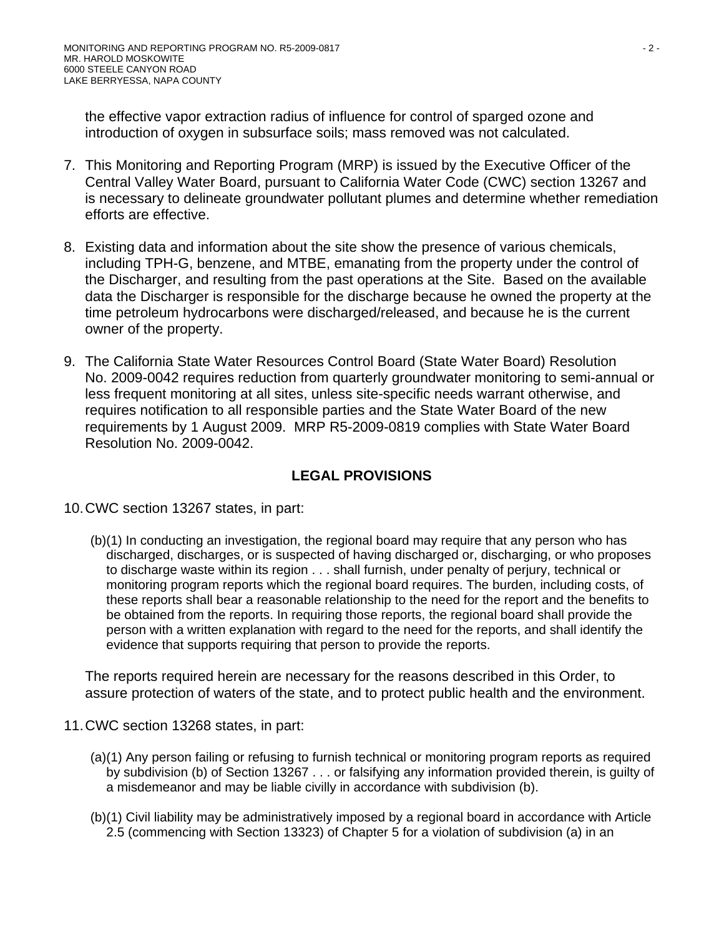the effective vapor extraction radius of influence for control of sparged ozone and introduction of oxygen in subsurface soils; mass removed was not calculated.

- 7. This Monitoring and Reporting Program (MRP) is issued by the Executive Officer of the Central Valley Water Board, pursuant to California Water Code (CWC) section 13267 and is necessary to delineate groundwater pollutant plumes and determine whether remediation efforts are effective.
- 8. Existing data and information about the site show the presence of various chemicals, including TPH-G, benzene, and MTBE, emanating from the property under the control of the Discharger, and resulting from the past operations at the Site. Based on the available data the Discharger is responsible for the discharge because he owned the property at the time petroleum hydrocarbons were discharged/released, and because he is the current owner of the property.
- 9. The California State Water Resources Control Board (State Water Board) Resolution No. 2009-0042 requires reduction from quarterly groundwater monitoring to semi-annual or less frequent monitoring at all sites, unless site-specific needs warrant otherwise, and requires notification to all responsible parties and the State Water Board of the new requirements by 1 August 2009. MRP R5-2009-0819 complies with State Water Board Resolution No. 2009-0042.

# **LEGAL PROVISIONS**

- 10. CWC section 13267 states, in part:
	- (b)(1) In conducting an investigation, the regional board may require that any person who has discharged, discharges, or is suspected of having discharged or, discharging, or who proposes to discharge waste within its region . . . shall furnish, under penalty of perjury, technical or monitoring program reports which the regional board requires. The burden, including costs, of these reports shall bear a reasonable relationship to the need for the report and the benefits to be obtained from the reports. In requiring those reports, the regional board shall provide the person with a written explanation with regard to the need for the reports, and shall identify the evidence that supports requiring that person to provide the reports.

The reports required herein are necessary for the reasons described in this Order, to assure protection of waters of the state, and to protect public health and the environment.

- 11. CWC section 13268 states, in part:
	- (a)(1) Any person failing or refusing to furnish technical or monitoring program reports as required by subdivision (b) of Section 13267 . . . or falsifying any information provided therein, is guilty of a misdemeanor and may be liable civilly in accordance with subdivision (b).
	- (b)(1) Civil liability may be administratively imposed by a regional board in accordance with Article 2.5 (commencing with Section 13323) of Chapter 5 for a violation of subdivision (a) in an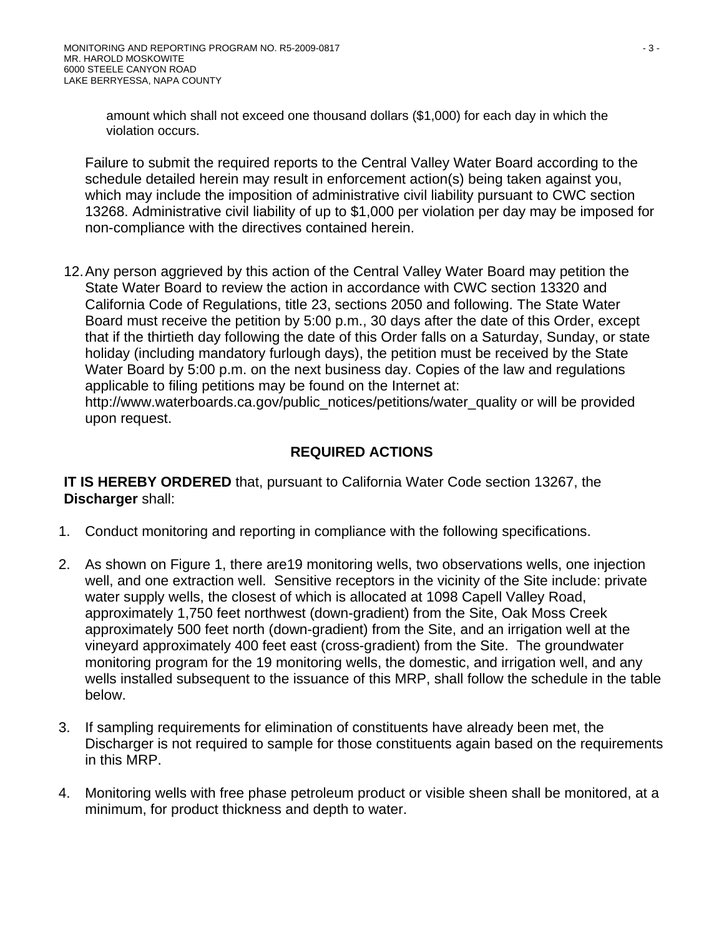amount which shall not exceed one thousand dollars (\$1,000) for each day in which the violation occurs.

Failure to submit the required reports to the Central Valley Water Board according to the schedule detailed herein may result in enforcement action(s) being taken against you, which may include the imposition of administrative civil liability pursuant to CWC section 13268. Administrative civil liability of up to \$1,000 per violation per day may be imposed for non-compliance with the directives contained herein.

12. Any person aggrieved by this action of the Central Valley Water Board may petition the State Water Board to review the action in accordance with CWC section 13320 and California Code of Regulations, title 23, sections 2050 and following. The State Water Board must receive the petition by 5:00 p.m., 30 days after the date of this Order, except that if the thirtieth day following the date of this Order falls on a Saturday, Sunday, or state holiday (including mandatory furlough days), the petition must be received by the State Water Board by 5:00 p.m. on the next business day. Copies of the law and regulations applicable to filing petitions may be found on the Internet at:

http://www.waterboards.ca.gov/public\_notices/petitions/water\_quality or will be provided upon request.

## **REQUIRED ACTIONS**

**IT IS HEREBY ORDERED** that, pursuant to California Water Code section 13267, the **Discharger** shall:

- 1. Conduct monitoring and reporting in compliance with the following specifications.
- 2. As shown on Figure 1, there are19 monitoring wells, two observations wells, one injection well, and one extraction well. Sensitive receptors in the vicinity of the Site include: private water supply wells, the closest of which is allocated at 1098 Capell Valley Road, approximately 1,750 feet northwest (down-gradient) from the Site, Oak Moss Creek approximately 500 feet north (down-gradient) from the Site, and an irrigation well at the vineyard approximately 400 feet east (cross-gradient) from the Site. The groundwater monitoring program for the 19 monitoring wells, the domestic, and irrigation well, and any wells installed subsequent to the issuance of this MRP, shall follow the schedule in the table below.
- 3. If sampling requirements for elimination of constituents have already been met, the Discharger is not required to sample for those constituents again based on the requirements in this MRP.
- 4. Monitoring wells with free phase petroleum product or visible sheen shall be monitored, at a minimum, for product thickness and depth to water.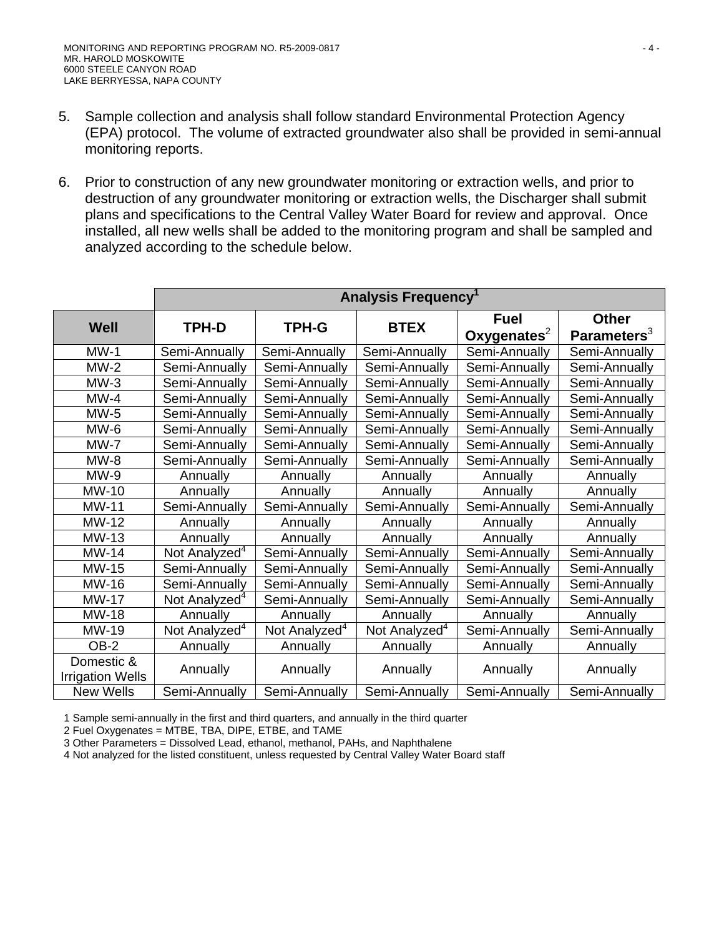- 5. Sample collection and analysis shall follow standard Environmental Protection Agency (EPA) protocol. The volume of extracted groundwater also shall be provided in semi-annual monitoring reports.
- 6. Prior to construction of any new groundwater monitoring or extraction wells, and prior to destruction of any groundwater monitoring or extraction wells, the Discharger shall submit plans and specifications to the Central Valley Water Board for review and approval. Once installed, all new wells shall be added to the monitoring program and shall be sampled and analyzed according to the schedule below.

|                                       | Analysis Frequency <sup>1</sup> |                           |                           |                               |                                |
|---------------------------------------|---------------------------------|---------------------------|---------------------------|-------------------------------|--------------------------------|
| <b>Well</b>                           | TPH-D                           | <b>TPH-G</b>              | <b>BTEX</b>               | <b>Fuel</b><br>Oxygenates $2$ | <b>Other</b><br>Parameters $3$ |
| $MW-1$                                | Semi-Annually                   | Semi-Annually             | Semi-Annually             | Semi-Annually                 | Semi-Annually                  |
| $MW-2$                                | Semi-Annually                   | Semi-Annually             | Semi-Annually             | Semi-Annually                 | Semi-Annually                  |
| $MW-3$                                | Semi-Annually                   | Semi-Annually             | Semi-Annually             | Semi-Annually                 | Semi-Annually                  |
| $MW-4$                                | Semi-Annually                   | Semi-Annually             | Semi-Annually             | Semi-Annually                 | Semi-Annually                  |
| $MW-5$                                | Semi-Annually                   | Semi-Annually             | Semi-Annually             | Semi-Annually                 | Semi-Annually                  |
| $MW-6$                                | Semi-Annually                   | Semi-Annually             | Semi-Annually             | Semi-Annually                 | Semi-Annually                  |
| $MW-7$                                | Semi-Annually                   | Semi-Annually             | Semi-Annually             | Semi-Annually                 | Semi-Annually                  |
| $MW-8$                                | Semi-Annually                   | Semi-Annually             | Semi-Annually             | Semi-Annually                 | Semi-Annually                  |
| $MW-9$                                | Annually                        | Annually                  | Annually                  | Annually                      | Annually                       |
| MW-10                                 | Annually                        | Annually                  | Annually                  | Annually                      | Annually                       |
| <b>MW-11</b>                          | Semi-Annually                   | Semi-Annually             | Semi-Annually             | Semi-Annually                 | Semi-Annually                  |
| MW-12                                 | Annually                        | Annually                  | Annually                  | Annually                      | Annually                       |
| MW-13                                 | Annually                        | Annually                  | Annually                  | Annually                      | Annually                       |
| <b>MW-14</b>                          | Not Analyzed <sup>4</sup>       | Semi-Annually             | Semi-Annually             | Semi-Annually                 | Semi-Annually                  |
| <b>MW-15</b>                          | Semi-Annually                   | Semi-Annually             | Semi-Annually             | Semi-Annually                 | Semi-Annually                  |
| MW-16                                 | Semi-Annually                   | Semi-Annually             | Semi-Annually             | Semi-Annually                 | Semi-Annually                  |
| <b>MW-17</b>                          | Not Analyzed <sup>4</sup>       | Semi-Annually             | Semi-Annually             | Semi-Annually                 | Semi-Annually                  |
| <b>MW-18</b>                          | Annually                        | Annually                  | Annually                  | Annually                      | Annually                       |
| MW-19                                 | Not Analyzed <sup>4</sup>       | Not Analyzed <sup>4</sup> | Not Analyzed <sup>4</sup> | Semi-Annually                 | Semi-Annually                  |
| OB-2                                  | Annually                        | Annually                  | Annually                  | Annually                      | Annually                       |
| Domestic &<br><b>Irrigation Wells</b> | Annually                        | Annually                  | Annually                  | Annually                      | Annually                       |
| New Wells                             | Semi-Annually                   | Semi-Annually             | Semi-Annually             | Semi-Annually                 | Semi-Annually                  |

1 Sample semi-annually in the first and third quarters, and annually in the third quarter

2 Fuel Oxygenates = MTBE, TBA, DIPE, ETBE, and TAME

3 Other Parameters = Dissolved Lead, ethanol, methanol, PAHs, and Naphthalene

4 Not analyzed for the listed constituent, unless requested by Central Valley Water Board staff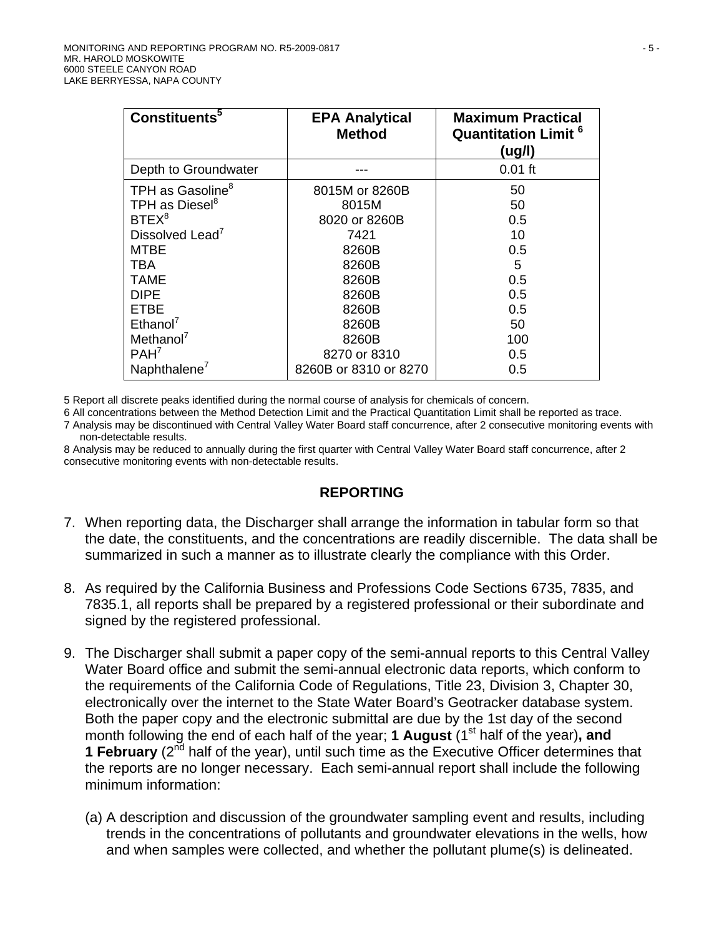| Constituents <sup>5</sup>    | <b>EPA Analytical</b><br><b>Method</b> | <b>Maximum Practical</b><br><b>Quantitation Limit<sup>6</sup></b><br>(ug/l) |
|------------------------------|----------------------------------------|-----------------------------------------------------------------------------|
| Depth to Groundwater         |                                        | $0.01$ ft                                                                   |
| TPH as Gasoline <sup>8</sup> | 8015M or 8260B                         | 50                                                                          |
| TPH as Diesel <sup>8</sup>   | 8015M                                  | 50                                                                          |
| BTEX <sup>8</sup>            | 8020 or 8260B                          | 0.5                                                                         |
| Dissolved Lead <sup>7</sup>  | 7421                                   | 10                                                                          |
| MTBE                         | 8260B                                  | 0.5                                                                         |
| <b>TBA</b>                   | 8260B                                  | 5                                                                           |
| <b>TAME</b>                  | 8260B                                  | 0.5                                                                         |
| <b>DIPE</b>                  | 8260B                                  | 0.5                                                                         |
| ETBE                         | 8260B                                  | 0.5                                                                         |
| Ethanol <sup>7</sup>         | 8260B                                  | 50                                                                          |
| Methanol $7$                 | 8260B                                  | 100                                                                         |
| PAH <sup>7</sup>             | 8270 or 8310                           | 0.5                                                                         |
| Naphthalene <sup>7</sup>     | 8260B or 8310 or 8270                  | 0.5                                                                         |

5 Report all discrete peaks identified during the normal course of analysis for chemicals of concern.

6 All concentrations between the Method Detection Limit and the Practical Quantitation Limit shall be reported as trace.

7 Analysis may be discontinued with Central Valley Water Board staff concurrence, after 2 consecutive monitoring events with non-detectable results.

8 Analysis may be reduced to annually during the first quarter with Central Valley Water Board staff concurrence, after 2 consecutive monitoring events with non-detectable results.

#### **REPORTING**

- 7. When reporting data, the Discharger shall arrange the information in tabular form so that the date, the constituents, and the concentrations are readily discernible. The data shall be summarized in such a manner as to illustrate clearly the compliance with this Order.
- 8. As required by the California Business and Professions Code Sections 6735, 7835, and 7835.1, all reports shall be prepared by a registered professional or their subordinate and signed by the registered professional.
- 9. The Discharger shall submit a paper copy of the semi-annual reports to this Central Valley Water Board office and submit the semi-annual electronic data reports, which conform to the requirements of the California Code of Regulations, Title 23, Division 3, Chapter 30, electronically over the internet to the State Water Board's Geotracker database system. Both the paper copy and the electronic submittal are due by the 1st day of the second month following the end of each half of the year; **1 August** (1<sup>st</sup> half of the year), and **1 February** (2<sup>nd</sup> half of the year), until such time as the Executive Officer determines that the reports are no longer necessary. Each semi-annual report shall include the following minimum information:
	- (a) A description and discussion of the groundwater sampling event and results, including trends in the concentrations of pollutants and groundwater elevations in the wells, how and when samples were collected, and whether the pollutant plume(s) is delineated.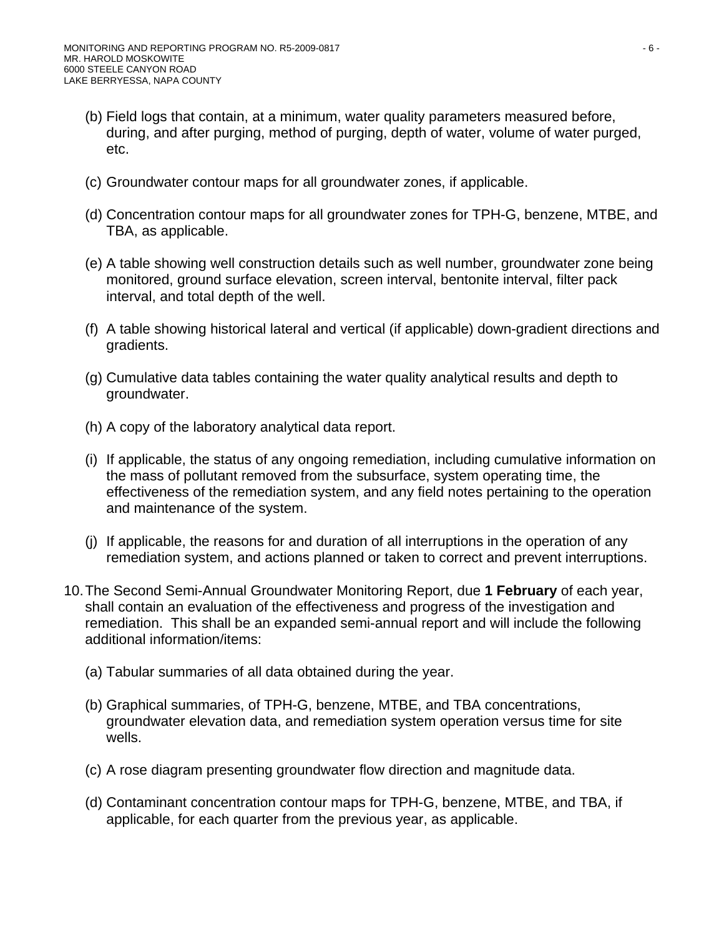- (b) Field logs that contain, at a minimum, water quality parameters measured before, during, and after purging, method of purging, depth of water, volume of water purged, etc.
- (c) Groundwater contour maps for all groundwater zones, if applicable.
- (d) Concentration contour maps for all groundwater zones for TPH-G, benzene, MTBE, and TBA, as applicable.
- (e) A table showing well construction details such as well number, groundwater zone being monitored, ground surface elevation, screen interval, bentonite interval, filter pack interval, and total depth of the well.
- (f) A table showing historical lateral and vertical (if applicable) down-gradient directions and gradients.
- (g) Cumulative data tables containing the water quality analytical results and depth to groundwater.
- (h) A copy of the laboratory analytical data report.
- (i) If applicable, the status of any ongoing remediation, including cumulative information on the mass of pollutant removed from the subsurface, system operating time, the effectiveness of the remediation system, and any field notes pertaining to the operation and maintenance of the system.
- (j) If applicable, the reasons for and duration of all interruptions in the operation of any remediation system, and actions planned or taken to correct and prevent interruptions.
- 10. The Second Semi-Annual Groundwater Monitoring Report, due **1 February** of each year, shall contain an evaluation of the effectiveness and progress of the investigation and remediation. This shall be an expanded semi-annual report and will include the following additional information/items:
	- (a) Tabular summaries of all data obtained during the year.
	- (b) Graphical summaries, of TPH-G, benzene, MTBE, and TBA concentrations, groundwater elevation data, and remediation system operation versus time for site wells.
	- (c) A rose diagram presenting groundwater flow direction and magnitude data.
	- (d) Contaminant concentration contour maps for TPH-G, benzene, MTBE, and TBA, if applicable, for each quarter from the previous year, as applicable.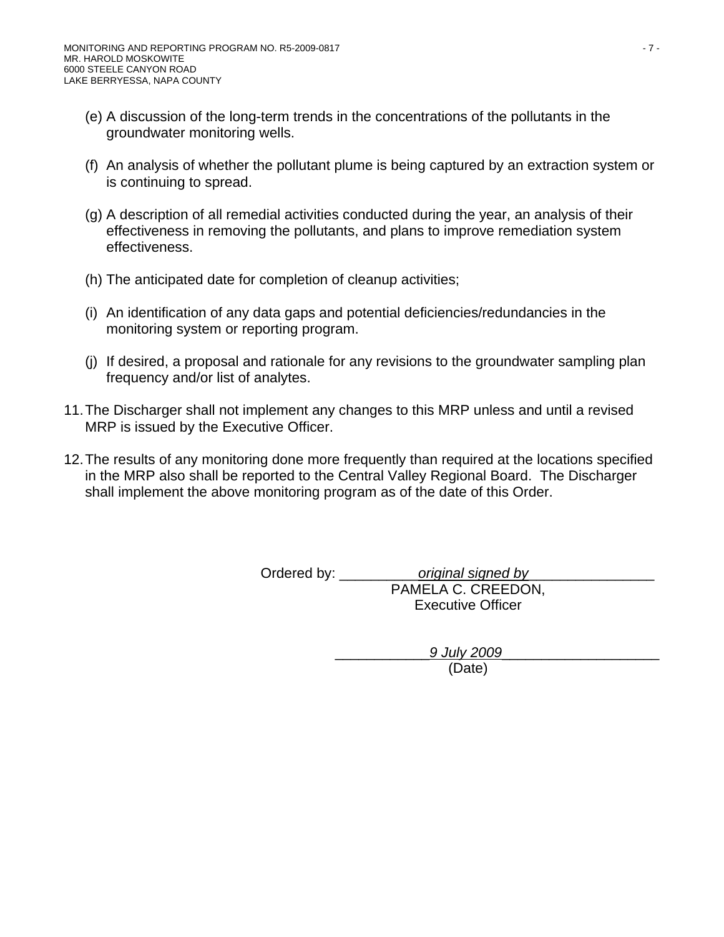- (e) A discussion of the long-term trends in the concentrations of the pollutants in the groundwater monitoring wells.
- (f) An analysis of whether the pollutant plume is being captured by an extraction system or is continuing to spread.
- (g) A description of all remedial activities conducted during the year, an analysis of their effectiveness in removing the pollutants, and plans to improve remediation system effectiveness.
- (h) The anticipated date for completion of cleanup activities;
- (i) An identification of any data gaps and potential deficiencies/redundancies in the monitoring system or reporting program.
- (j) If desired, a proposal and rationale for any revisions to the groundwater sampling plan frequency and/or list of analytes.
- 11. The Discharger shall not implement any changes to this MRP unless and until a revised MRP is issued by the Executive Officer.
- 12. The results of any monitoring done more frequently than required at the locations specified in the MRP also shall be reported to the Central Valley Regional Board. The Discharger shall implement the above monitoring program as of the date of this Order.

Ordered by: \_\_\_\_\_\_\_\_\_\_*original signed by*\_\_\_\_\_\_\_\_\_\_\_\_\_\_\_\_ PAMELA C. CREEDON, Executive Officer

> \_\_\_\_\_\_\_\_\_\_\_\_*9 July 2009*\_\_\_\_\_\_\_\_\_\_\_\_\_\_\_\_\_\_\_\_ (Date)